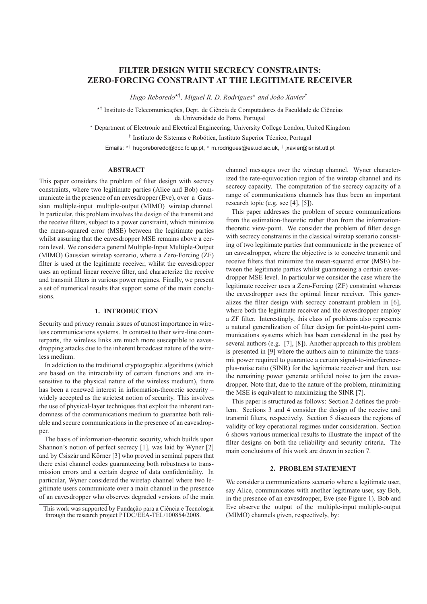# **FILTER DESIGN WITH SECRECY CONSTRAINTS: ZERO-FORCING CONSTRAINT AT THE LEGITIMATE RECEIVER**

 $H$ ugo Reboredo<sup>\*†</sup>, Miguel R. D. Rodrigues<sup>\*</sup> and João Xavier<sup>†</sup>

\*<sup>†</sup> Instituto de Telecomunicações, Dept. de Ciência de Computadores da Faculdade de Ciências da Universidade do Porto, Portugal

- Department of Electronic and Electrical Engineering, University College London, United Kingdom

<sup>†</sup> Instituto de Sistemas e Robótica, Instituto Superior Técnico, Portugal

Emails: \*<sup>†</sup> hugoreboredo@dcc.fc.up.pt, \* m.rodrigues@ee.ucl.ac.uk, <sup>†</sup> jxavier@isr.ist.utl.pt

# **ABSTRACT**

This paper considers the problem of filter design with secrecy constraints, where two legitimate parties (Alice and Bob) communicate in the presence of an eavesdropper (Eve), over a Gaussian multiple-input multiple-output (MIMO) wiretap channel. In particular, this problem involves the design of the transmit and the receive filters, subject to a power constraint, which minimize the mean-squared error (MSE) between the legitimate parties whilst assuring that the eavesdropper MSE remains above a certain level. We consider a general Multiple-Input Multiple-Output (MIMO) Gaussian wiretap scenario, where a Zero-Forcing (ZF) filter is used at the legitimate receiver, whilst the eavesdropper uses an optimal linear receive filter, and characterize the receive and transmit filters in various power regimes. Finally, we present a set of numerical results that support some of the main conclusions.

# **1. INTRODUCTION**

Security and privacy remain issues of utmost importance in wireless communications systems. In contrast to their wire-line counterparts, the wireless links are much more susceptible to eavesdropping attacks due to the inherent broadcast nature of the wireless medium.

In addiction to the traditional cryptographic algorithms (which are based on the intractability of certain functions and are insensitive to the physical nature of the wireless medium), there has been a renewed interest in information-theoretic security – widely accepted as the strictest notion of security. This involves the use of physical-layer techniques that exploit the inherent randomness of the communications medium to guarantee both reliable and secure communications in the presence of an eavesdropper.

The basis of information-theoretic security, which builds upon Shannon's notion of perfect secrecy [1], was laid by Wyner [2] and by Csiszár and Körner [3] who proved in seminal papers that there exist channel codes guaranteeing both robustness to transmission errors and a certain degree of data confidentiality. In particular, Wyner considered the wiretap channel where two legitimate users communicate over a main channel in the presence of an eavesdropper who observes degraded versions of the main

channel messages over the wiretap channel. Wyner characterized the rate-equivocation region of the wiretap channel and its secrecy capacity. The computation of the secrecy capacity of a range of communications channels has thus been an important research topic (e.g. see [4], [5]).

This paper addresses the problem of secure communications from the estimation-theoretic rather than from the informationtheoretic view-point. We consider the problem of filter design with secrecy constraints in the classical wiretap scenario consisting of two legitimate parties that communicate in the presence of an eavesdropper, where the objective is to conceive transmit and receive filters that minimize the mean-squared error (MSE) between the legitimate parties whilst guaranteeing a certain eavesdropper MSE level. In particular we consider the case where the legitimate receiver uses a Zero-Forcing (ZF) constraint whereas the eavesdropper uses the optimal linear receiver. This generalizes the filter design with secrecy constraint problem in [6], where both the legitimate receiver and the eavesdropper employ a ZF filter. Interestingly, this class of problems also represents a natural generalization of filter design for point-to-point communications systems which has been considered in the past by several authors (e.g. [7], [8]). Another approach to this problem is presented in [9] where the authors aim to minimize the transmit power required to guarantee a certain signal-to-interferenceplus-noise ratio (SINR) for the legitimate receiver and then, use the remaining power generate artificial noise to jam the eavesdropper. Note that, due to the nature of the problem, minimizing the MSE is equivalent to maximizing the SINR [7].

This paper is structured as follows: Section 2 defines the problem. Sections 3 and 4 consider the design of the receive and transmit filters, respectively. Section 5 discusses the regions of validity of key operational regimes under consideration. Section 6 shows various numerical results to illustrate the impact of the filter designs on both the reliability and security criteria. The main conclusions of this work are drawn in section 7.

# **2. PROBLEM STATEMENT**

We consider a communications scenario where a legitimate user, say Alice, communicates with another legitimate user, say Bob, in the presence of an eavesdropper, Eve (see Figure 1). Bob and Eve observe the output of the multiple-input multiple-output (MIMO) channels given, respectively, by:

This work was supported by Fundação para a Ciência e Tecnologia through the research project PTDC/EEA-TEL/100854/2008.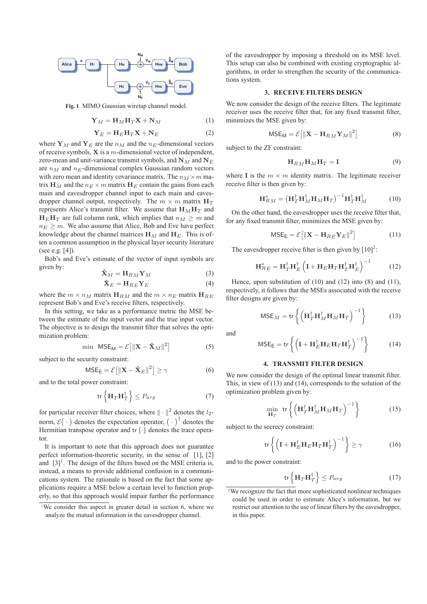

**Fig. 1**. MIMO Gaussian wiretap channel model.

$$
\mathbf{Y}_M = \mathbf{H}_M \mathbf{H}_T \mathbf{X} + \mathbf{N}_M \tag{1}
$$

$$
\mathbf{Y}_E = \mathbf{H}_E \mathbf{H}_T \mathbf{X} + \mathbf{N}_E \tag{2}
$$

where  $Y_M$  and  $Y_E$  are the  $n_M$  and the  $n_E$ -dimensional vectors of receive symbols, **X** is a m-dimensional vector of independent, zero-mean and unit-variance transmit symbols, and  $N_M$  and  $N_E$ are  $n_M$  and  $n_E$ -dimensional complex Gaussian random vectors with zero mean and identity covariance matrix. The  $n_M \times m$  matrix  $\mathbf{H}_M$  and the  $n_E \times m$  matrix  $\mathbf{H}_E$  contain the gains from each main and eavesdropper channel input to each main and eavesdropper channel output, respectively. The  $m \times m$  matrix  $\mathbf{H}_T$ represents Alice's transmit filter. We assume that  $\mathbf{H}_M \mathbf{H}_T$  and  $H_E H_T$  are full column rank, which implies that  $n_M \ge m$  and  $n \ge m$ . We also assume that Alice Rep and Eve have perfect  $n_E \geq m$ . We also assume that Alice, Bob and Eve have perfect<br>knowledge about the channel matrices  $H_{\text{total}}$  and  $H_{\text{total}}$ . knowledge about the channel matrices  $\mathbf{H}_M$  and  $\mathbf{H}_E$ . This is often a common assumption in the physical layer security literature (see e.g. [4]).

Bob's and Eve's estimate of the vector of input symbols are given by:

$$
\hat{\mathbf{X}}_{M} = \mathbf{H}_{RM} \mathbf{Y}_{M}
$$
\n(3)

$$
\hat{\mathbf{X}}_E = \mathbf{H}_{RE} \mathbf{Y}_E \tag{4}
$$

where the  $m \times n_M$  matrix  $\mathbf{H}_{RM}$  and the  $m \times n_E$  matrix  $\mathbf{H}_{RE}$ <br>represent Bob's and Eve's receive filters respectively represent Bob's and Eve's receive filters, respectively.

In this setting, we take as a performance metric the MSE between the estimate of the input vector and the true input vector. The objective is to design the transmit filter that solves the optimization problem:

$$
\min \quad \text{MSE}_{\mathsf{M}} = \mathcal{E}\left[ \|\mathbf{X} - \hat{\mathbf{X}}_{M}\|^{2} \right] \tag{5}
$$

subject to the security constraint:

$$
MSE_E = \mathcal{E}\left[\|\mathbf{X} - \hat{\mathbf{X}}_E\|^2\right] \ge \gamma \tag{6}
$$

and to the total power constraint:

$$
\operatorname{tr}\left\{\mathbf{H}_T\mathbf{H}_T^{\dagger}\right\} \le P_{avg} \tag{7}
$$

for particular receiver filter choices, where  $\|\cdot\|^2$  denotes the  $l_2$ norm,  $\mathcal{E}(\cdot)$  denotes the expectation operator,  $(\cdot)^{\dagger}$  denotes the Hermitian transpose operator and  $tr\{\cdot\}$  denotes the trace operator.

It is important to note that this approach does not guarantee perfect information-theoretic security, in the sense of [1], [2] and  $[3]$ <sup>1</sup>. The design of the filters based on the MSE criteria is, instead, a means to provide additional confusion in a communications system. The rationale is based on the fact that some applications require a MSE below a certain level to function properly, so that this approach would impair further the performance

of the eavesdropper by imposing a threshold on its MSE level. This setup can also be combined with existing cryptographic algorithms, in order to strengthen the security of the communications system.

## **3. RECEIVE FILTERS DESIGN**

We now consider the design of the receive filters. The legitimate receiver uses the receive filter that, for any fixed transmit filter, minimizes the MSE given by:

$$
MSE_M = \mathcal{E}\left[ \left\| \mathbf{X} - \mathbf{H}_{RM} \mathbf{Y}_M \right\|^2 \right] \tag{8}
$$

subject to the ZF constraint:

**H**∗

$$
\mathbf{H}_{RM}\mathbf{H}_M\mathbf{H}_T = \mathbf{I} \tag{9}
$$

where **I** is the  $m \times m$  identity matrix. The legitimate receiver receive filter is then given by:

$$
\mathbf{I}_{RM}^* = \left(\mathbf{H}_T^\dagger \mathbf{H}_M^\dagger \mathbf{H}_M \mathbf{H}_T\right)^{-1} \mathbf{H}_T^\dagger \mathbf{H}_M^\dagger \tag{10}
$$

On the other hand, the eavesdropper uses the receive filter that, for any fixed transmit filter, minimizes the MSE given by:

$$
MSE_E = \mathcal{E}\left[ \left\| \mathbf{X} - \mathbf{H}_{RE} \mathbf{Y}_E \right\|^2 \right] \tag{11}
$$

The eavesdropper receive filter is then given by  $[10]<sup>2</sup>$ :

$$
\mathbf{H}_{RE}^* = \mathbf{H}_T^\dagger \mathbf{H}_E^\dagger \left( \mathbf{I} + \mathbf{H}_E \mathbf{H}_T \mathbf{H}_T^\dagger \mathbf{H}_E^\dagger \right)^{-1} \tag{12}
$$

Hence, upon substitution of (10) and (12) into (8) and (11). respectively, it follows that the MSEs associated with the receive filter designs are given by:

$$
MSE_M = \text{tr}\left\{ \left( \mathbf{H}_T^{\dagger} \mathbf{H}_M^{\dagger} \mathbf{H}_M \mathbf{H}_T \right)^{-1} \right\}
$$
(13)

and

$$
MSE_E = \text{tr}\left\{ \left( \mathbf{I} + \mathbf{H}_E^{\dagger} \mathbf{H}_E \mathbf{H}_T \mathbf{H}_T^{\dagger} \right)^{-1} \right\} \tag{14}
$$

# **4. TRANSMIT FILTER DESIGN**

We now consider the design of the optimal linear transmit filter. This, in view of (13) and (14), corresponds to the solution of the optimization problem given by:

$$
\min_{\mathbf{H}_T} \; \text{tr}\left\{ \left( \mathbf{H}_T^{\dagger} \mathbf{H}_M^{\dagger} \mathbf{H}_M \mathbf{H}_T \right)^{-1} \right\} \tag{15}
$$

subject to the secrecy constraint:

$$
\operatorname{tr}\left\{ \left( \mathbf{I} + \mathbf{H}_{E}^{\dagger} \mathbf{H}_{E} \mathbf{H}_{T} \mathbf{H}_{T}^{\dagger} \right)^{-1} \right\} \geq \gamma \tag{16}
$$

and to the power constraint:

$$
\operatorname{tr}\left\{\mathbf{H}_T\mathbf{H}_T^{\dagger}\right\} \le P_{avg} \tag{17}
$$

<sup>1</sup>We consider this aspect in greater detail in section 6, where we analyze the mutual information in the eavesdropper channel.

<sup>2</sup>We recognize the fact that more sophisticated nonlinear techniques could be used in order to estimate Alice's information, but we restrict our attention to the use of linear filters by the eavesdropper, in this paper.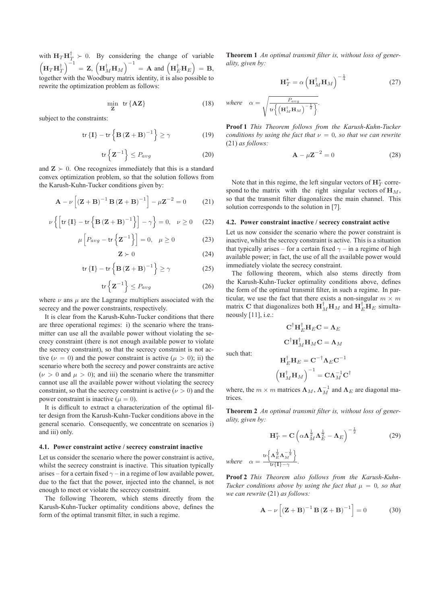with  $\mathbf{H}_T \mathbf{H}_T^{\dagger} \succ 0$ . By considering the change of variable  $\left(\mathbf{H}_T \mathbf{H}_T^{\dagger}\right)^{-1} = \mathbf{Z}, \left(\mathbf{H}_M^{\dagger} \mathbf{H}_M\right)^{-1} = \mathbf{A} \text{ and } \left(\mathbf{H}_E^{\dagger} \mathbf{H}_E\right) = \mathbf{B},$  $\overrightarrow{\text{to}}$  together with the Woodbury matrix identity, it is also possible to rewrite the optimization problem as follows:

$$
\min_{\mathbf{Z}} \ \ \text{tr} \left\{ \mathbf{AZ} \right\} \tag{18}
$$

subject to the constraints:

$$
\operatorname{tr}\left\{\mathbf{I}\right\} - \operatorname{tr}\left\{\mathbf{B}\left(\mathbf{Z} + \mathbf{B}\right)^{-1}\right\} \ge \gamma \tag{19}
$$

$$
\operatorname{tr}\left\{ \mathbf{Z}^{-1} \right\} \le P_{avg} \tag{20}
$$

and  $\mathbf{Z} \succ 0$ . One recognizes immediately that this is a standard convex optimization problem, so that the solution follows from the Karush-Kuhn-Tucker conditions given by:

$$
\mathbf{A} - \nu \left[ (\mathbf{Z} + \mathbf{B})^{-1} \mathbf{B} (\mathbf{Z} + \mathbf{B})^{-1} \right] - \mu \mathbf{Z}^{-2} = 0 \tag{21}
$$

$$
\nu\left\{ \left[ \operatorname{tr}\left\{ \mathbf{I} \right\} - \operatorname{tr}\left\{ \mathbf{B}\left( \mathbf{Z} + \mathbf{B} \right)^{-1} \right\} \right] - \gamma \right\} = 0, \quad \nu \ge 0 \qquad (22)
$$

$$
\mu\left[P_{avg} - \text{tr}\left\{\mathbf{Z}^{-1}\right\}\right] = 0, \quad \mu \ge 0 \tag{23}
$$

$$
\mathbf{Z} \succ 0 \tag{24}
$$

$$
\operatorname{tr}\left\{\mathbf{I}\right\} - \operatorname{tr}\left\{\mathbf{B}\left(\mathbf{Z} + \mathbf{B}\right)^{-1}\right\} \ge \gamma \tag{25}
$$

$$
\operatorname{tr}\left\{ \mathbf{Z}^{-1} \right\} \le P_{avg} \tag{26}
$$

where  $\nu$  ans  $\mu$  are the Lagrange multipliers associated with the secrecy and the power constraints, respectively.

It is clear from the Karush-Kuhn-Tucker conditions that there are three operational regimes: i) the scenario where the transmitter can use all the available power without violating the secrecy constraint (there is not enough available power to violate the secrecy constraint), so that the secrecy constraint is not active ( $\nu = 0$ ) and the power constraint is active ( $\mu > 0$ ); ii) the scenario where both the secrecy and power constraints are active  $(\nu > 0$  and  $\mu > 0$ ); and iii) the scenario where the transmitter cannot use all the available power without violating the secrecy constraint, so that the secrecy constraint is active ( $\nu > 0$ ) and the power constraint is inactive ( $\mu = 0$ ).

It is difficult to extract a characterization of the optimal filter design from the Karush-Kuhn-Tucker conditions above in the general scenario. Consequently, we concentrate on scenarios i) and iii) only.

## **4.1. Power constraint active / secrecy constraint inactive**

Let us consider the scenario where the power constraint is active, whilst the secrecy constraint is inactive. This situation typically arises – for a certain fixed  $\gamma$  – in a regime of low available power, due to the fact that the power, injected into the channel, is not enough to meet or violate the secrecy constraint.

The following Theorem, which stems directly from the Karush-Kuhn-Tucker optimality conditions above, defines the form of the optimal transmit filter, in such a regime.

**Theorem 1** *An optimal transmit filter is, without loss of generality, given by:*

$$
\mathbf{H}_T^* = \alpha \left( \mathbf{H}_M^\dagger \mathbf{H}_M \right)^{-\frac{1}{4}} \tag{27}
$$

where  $\alpha = \sqrt{\frac{P_{avg}}{\text{tr}\left\{\left(\mathbf{H}_M^{\dagger} \mathbf{H}_M\right)^{-\frac{1}{2}}\right\}}}.$ 

**Proof 1** *This Theorem follows from the Karush-Kuhn-Tucker conditions by using the fact that*  $\nu = 0$ *, so that we can rewrite* (21) *as follows:*

$$
\mathbf{A} - \mu \mathbf{Z}^{-2} = 0 \tag{28}
$$

Note that in this regime, the left singular vectors of  $\mathbf{H}_T^*$  corre-<br>nond to the matrix with the right singular vectors of  $\mathbf{H}_T$ . spond to the matrix with the right singular vectors of  $\mathbf{H}_M$ , so that the transmit filter diagonalizes the main channel. This solution corresponds to the solution in [7].

#### **4.2. Power constraint inactive / secrecy constraint active**

Let us now consider the scenario where the power constraint is inactive, whilst the secrecy constraint is active. This is a situation that typically arises – for a certain fixed  $\gamma$  – in a regime of high available power; in fact, the use of all the available power would immediately violate the secrecy constraint.

The following theorem, which also stems directly from the Karush-Kuhn-Tucker optimality conditions above, defines the form of the optimal transmit filter, in such a regime. In particular, we use the fact that there exists a non-singular  $m \times m$ matrix **C** that diagonalizes both  $\mathbf{H}_M^{\dagger} \mathbf{H}_M$  and  $\mathbf{H}_E^{\dagger} \mathbf{H}_E$  simulta-<br>neously [11] i.e. neously [11], i.e.:

$$
\mathbf{C}^{\dagger} \mathbf{H}_{E}^{\dagger} \mathbf{H}_{E} \mathbf{C} = \mathbf{\Lambda}_{E}
$$

$$
\mathbf{C}^{\dagger} \mathbf{H}_{M}^{\dagger} \mathbf{H}_{M} \mathbf{C} = \mathbf{\Lambda}_{M}
$$

$$
\mathbf{I}^{\dagger} \mathbf{H} = \mathbf{C}^{-\dagger} \mathbf{\Lambda} \quad \mathbf{C}^{-1}
$$

such that:

$$
\mathbf{H}_{E}^{\dagger} \mathbf{H}_{E} = \mathbf{C}^{-\dagger} \mathbf{\Lambda}_{E} \mathbf{C}^{-1}
$$

$$
\left(\mathbf{H}_{M}^{\dagger} \mathbf{H}_{M}\right)^{-1} = \mathbf{C} \mathbf{\Lambda}_{M}^{-1} \mathbf{C}^{\dagger}
$$

where, the  $m \times m$  matrices  $\Lambda_M$ ,  $\Lambda_M^{-1}$  and  $\Lambda_E$  are diagonal matrices trices.

**Theorem 2** *An optimal transmit filter is, without loss of generality, given by:*

$$
\mathbf{H}_T^* = \mathbf{C} \left( \alpha \Lambda_M^{\frac{1}{2}} \Lambda_E^{\frac{1}{2}} - \Lambda_E \right)^{-\frac{1}{2}}
$$
(29)

*where*  $\alpha =$  $\mathrm{tr}\bigg\{\boldsymbol{\Lambda}_{E}^{\tfrac{1}{2}}\boldsymbol{\Lambda}_{M}^{-\tfrac{1}{2}}$ M  $\lambda$  $\frac{E}{\text{tr}\{\mathbf{I}\}-\gamma}$ .

**Proof 2** *This Theorem also follows from the Karush-Kuhn-Tucker conditions above by using the fact that*  $\mu = 0$ *, so that we can rewrite* (21) *as follows:*

$$
\mathbf{A} - \nu \left[ \left( \mathbf{Z} + \mathbf{B} \right)^{-1} \mathbf{B} \left( \mathbf{Z} + \mathbf{B} \right)^{-1} \right] = 0 \tag{30}
$$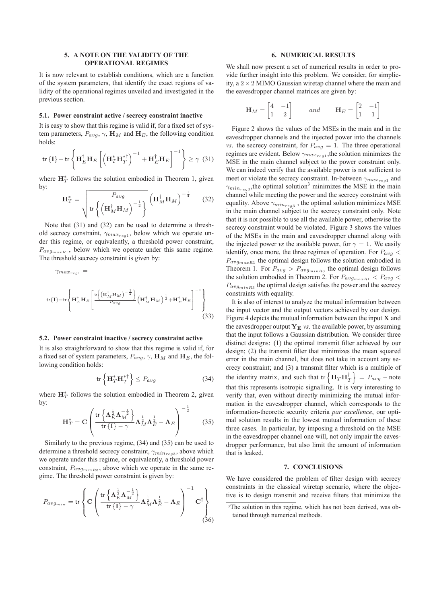# **5. A NOTE ON THE VALIDITY OF THE OPERATIONAL REGIMES**

It is now relevant to establish conditions, which are a function of the system parameters, that identify the exact regions of validity of the operational regimes unveiled and investigated in the previous section.

#### **5.1. Power constraint active / secrecy constraint inactive**

It is easy to show that this regime is valid if, for a fixed set of system parameters,  $P_{avg}$ ,  $\gamma$ ,  $H_M$  and  $H_E$ , the following condition holds:

$$
\operatorname{tr}\left\{\mathbf{I}\right\} - \operatorname{tr}\left\{\mathbf{H}_{E}^{\dagger}\mathbf{H}_{E}\left[\left(\mathbf{H}_{T}^{*}\mathbf{H}_{T}^{*\dagger}\right)^{-1} + \mathbf{H}_{E}^{\dagger}\mathbf{H}_{E}\right]^{-1}\right\} \geq \gamma \quad (31)
$$

where  $\mathbf{H}_{T}^{*}$  follows the solution embodied in Theorem 1, given by: by:

$$
\mathbf{H}_{T}^{*} = \sqrt{\frac{P_{avg}}{\text{tr}\left\{\left(\mathbf{H}_{M}^{\dagger}\mathbf{H}_{M}\right)^{-\frac{1}{2}}\right\}}}\left(\mathbf{H}_{M}^{\dagger}\mathbf{H}_{M}\right)^{-\frac{1}{4}}\qquad(32)
$$

Note that (31) and (32) can be used to determine a threshold secrecy constraint,  $\gamma_{maxreg1}$ , below which we operate under this regime, or equivalently, a threshold power constraint,  $P_{avg_{maxR1}}$ , below which we operate under this same regime. The threshold secrecy constraint is given by:

$$
\gamma_{max_{reg1}} =
$$
\n
$$
\operatorname{tr}\{\mathbf{I}\} - \operatorname{tr}\left\{\mathbf{H}_{E}^{\dagger}\mathbf{H}_{E}\left[\frac{\operatorname{tr}\left\{\left(\mathbf{H}_{M}^{\dagger}\mathbf{H}_{M}\right)^{-\frac{1}{2}}\right\}}{P_{avg}}\left(\mathbf{H}_{M}^{\dagger}\mathbf{H}_{M}\right)^{\frac{1}{2}} + \mathbf{H}_{E}^{\dagger}\mathbf{H}_{E}\right]^{-1}\right\}
$$
\n(33)

#### **5.2. Power constraint inactive / secrecy constraint active**

It is also straightforward to show that this regime is valid if, for a fixed set of system parameters,  $P_{avg}$ ,  $\gamma$ ,  $\mathbf{H}_M$  and  $\mathbf{H}_E$ , the following condition holds:

$$
\operatorname{tr}\left\{\mathbf{H}_T^*\mathbf{H}_T^{*\dagger}\right\} \le P_{avg} \tag{34}
$$

where  $\mathbf{H}_{T}^{*}$  follows the solution embodied in Theorem 2, given by: by:

$$
\mathbf{H}_{T}^{*} = \mathbf{C} \left( \frac{\text{tr}\left\{ \mathbf{\Lambda}_{E}^{\frac{1}{2}} \mathbf{\Lambda}_{M}^{-\frac{1}{2}} \right\}}{\text{tr}\left\{ \mathbf{I} \right\} - \gamma} \mathbf{\Lambda}_{M}^{\frac{1}{2}} \mathbf{\Lambda}_{E}^{\frac{1}{2}} - \mathbf{\Lambda}_{E} \right)^{-\frac{1}{2}} \tag{35}
$$

Similarly to the previous regime, (34) and (35) can be used to determine a threshold secrecy constraint,  $\gamma_{min_{req3}}$ , above which we operate under this regime, or equivalently, a threshold power constraint,  $P_{avg_{minR3}}$ , above which we operate in the same regime. The threshold power constraint is given by:

$$
P_{avg_{min}} = \text{tr}\left\{ \mathbf{C} \left( \frac{\text{tr}\left\{ \mathbf{\Lambda}_{E}^{\frac{1}{2}} \mathbf{\Lambda}_{M}^{-\frac{1}{2}} \right\}}{\text{tr}\left\{ \mathbf{I} \right\} - \gamma} \mathbf{\Lambda}_{M}^{\frac{1}{2}} \mathbf{\Lambda}_{E}^{\frac{1}{2}} - \mathbf{\Lambda}_{E} \right)^{-1} \mathbf{C}^{\dagger} \right\}
$$
(36)

## **6. NUMERICAL RESULTS**

We shall now present a set of numerical results in order to provide further insight into this problem. We consider, for simplicity, a  $2 \times 2$  MIMO Gaussian wiretap channel where the main and the eavesdropper channel matrices are given by:

$$
\mathbf{H}_M = \begin{bmatrix} 4 & -1 \\ 1 & 2 \end{bmatrix} \qquad and \qquad \mathbf{H}_E = \begin{bmatrix} 2 & -1 \\ 1 & 1 \end{bmatrix}
$$

Figure 2 shows the values of the MSEs in the main and in the eavesdropper channels and the injected power into the channels *vs*. the secrecy constraint, for  $P_{avg} = 1$ . The three operational regimes are evident. Below  $\gamma_{max_{real}}$ , the solution minimizes the MSE in the main channel subject to the power constraint only. We can indeed verify that the available power is not sufficient to meet or violate the secrecy constraint. In-between  $\gamma_{max_{real}}$  and  $\gamma_{min_{reg3}}$ , the optimal solution<sup>3</sup> minimizes the MSE in the main obtained while most in the now of the secrecy constraint with channel while meeting the power and the secrecy constraint with equality. Above  $\gamma_{min_{reg3}}$ , the optimal solution minimizes MSE in the main channel subject to the secrecy constraint only. Note that it is not possible to use all the available power, otherwise the secrecy constraint would be violated. Figure 3 shows the values of the MSEs in the main and eavesdropper channel along with the injected power *vs* the available power, for  $\gamma = 1$ . We easily identify, once more, the three regimes of operation. For  $P_{avg}$  <  $P_{avg_{maxR1}}$  the optimal design follows the solution embodied in<br>Theorem 1. For  $P_{\text{maxR1}}$  the optimal design follows Theorem 1. For  $P_{avg} > P_{avg_{minR3}}$  the optimal design follows the solution embodied in Theorem 2. For  $P_{avgmaxR1} < P_{avg} <$  $P_{avg_{minR3}}$  the optimal design satisfies the power and the secrecy constraints with equality.

It is also of interest to analyze the mutual information between the input vector and the output vectors achieved by our design. Figure 4 depicts the mutual information between the input **X** and the eavesdropper output  $Y_E$  *vs*. the available power, by assuming that the input follows a Gaussian distribution. We consider three distinct designs: (1) the optimal transmit filter achieved by our design; (2) the transmit filter that minimizes the mean squared error in the main channel, but does not take in account any secrecy constraint; and (3) a transmit filter which is a multiple of the identity matrix, and such that  $\{H_T H_T^{\dagger}\} = P_{avg}$  – note that this represents isotropic signalling. It is very interesting to verify that, even without directly minimizing the mutual information in the eavesdropper channel, which corresponds to the information-theoretic security criteria *par excellence*, our optimal solution results in the lowest mutual information of these three cases. In particular, by imposing a threshold on the MSE in the eavesdropper channel one will, not only impair the eavesdropper performance, but also limit the amount of information that is leaked.

## **7. CONCLUSIONS**

We have considered the problem of filter design with secrecy constraints in the classical wiretap scenario, where the objective is to design transmit and receive filters that minimize the

<sup>&</sup>lt;sup>3</sup>The solution in this regime, which has not been derived, was obtained through numerical methods.